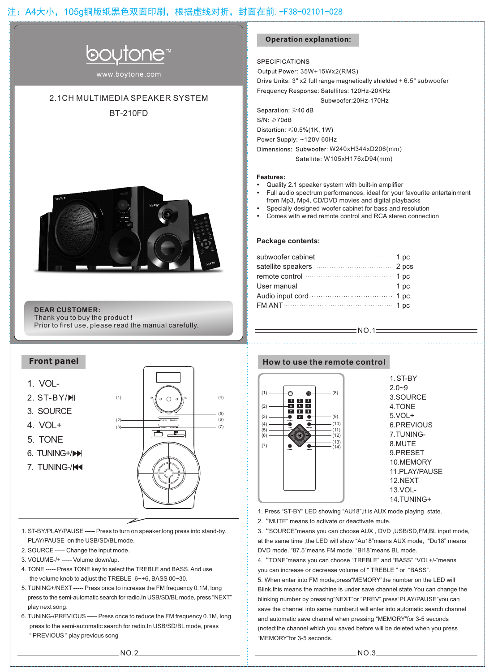

www.boytone.com

## 2.1CH MULTIMEDIA SPEAKER SYSTEM

BT-210FD



**DEAR CUSTOMER:**

Thank you to buy the product ! Prior to first use, please read the manual carefully.

### **Front panel**



- 1. ST-BY/PLAY/PAUSE ----- Press to turn on speaker,long press into stand-by. PLAY/PAUSE on the USB/SD/BL mode.
- 2. SOURCE ----- Change the input mode.
- 3. VOLUME-/+ ----- Volume down/up.
- 4. TONE ----- Press TONE key to select the TREBLE and BASS. And use the volume knob to adjust the TREBLE -6~+6, BASS 00~30.
- 5. TUNING+/NEXT ----- Press once to increase the FM frequency 0.1M, long press to the semi-automatic search for radio.In USB/SD/BL mode, press "NEXT" play next song.
- 6. TUNING-/PREVIOUS ----- Press once to reduce the FM frequency 0.1M, long press to the semi-automatic search for radio.In USB/SD/BL mode, press " PREVIOUS " play previous song

### **Operation explanation:**

**SPECIFICATIONS** 

Output Power: 35W+15Wx2(RMS)

Drive Units: 3" x2 full range magnetically shielded + 6.5" subwoofer

Frequency Response: Satellites: 120Hz-20KHz

Subwoofer:20Hz-170Hz

Separation. ≥40 dB

 $S/N: \geq 70dB$ 

Distortion:  $\leq 0.5\%$  (1K, 1W)

Power Supply: ~120V 60Hz

Dimensions: Subwoofer: W240xH344xD206(mm) Satellite: W105xH176xD94(mm)

#### **Features:**

- Quality 2.1 speaker system with built-in amplifier
- Full audio spectrum performances, ideal for your favourite entertainment from Mp3, Mp4, CD/DVD movies and digital playbacks<br>Specially designed woofer cabinet for bass and resolution

 $=$  NO.1 $=$ 

- Specially designed woofer cabinet for bass and resolution Comes with wired remote control and RCA stereo connection
- 

#### **Package contents:**

| subwoofer cabinet manufactured and pc |  |
|---------------------------------------|--|
|                                       |  |
| remote control memorial 1 pc          |  |
| User manual manual and the 1 pc       |  |
| Audio input cord manufactured and pc  |  |
|                                       |  |
|                                       |  |

#### **How to use the remote control**



1. ST-BY 2.0~9 3.SOURCE 4.TONE 5.VOL+ 6.PREVIOUS 7.TUNING-8.MUTE 9.PRESET 10.MEMORY 11.PLAY/PAUSE 12.NEXT 13.VOL-14.TUNING+

1. Press "ST-BY" LED showing "AU18",it is AUX mode playing state.

2."MUTE" means to activate or deactivate mute.

3."SOURCE"means you can choose AUX , DVD ,USB/SD,FM,BL input mode, at the same time ,the LED will show "Au18"means AUX mode, "Du18" means DVD mode. "87.5"means FM mode, "Bl18"means BL mode.

4."TONE"means you can choose "TREBLE" and "BASS" "VOL+/-"means you can increase or decrease volume of " TREBLE " or "BASS".

5. When enter into FM mode,press"MEMORY"the number on the LED will Blink.this means the machine is under save channel state.You can change the blinking number by pressing"NEXT"or "PREV",press"PLAY/PAUSE"you can save the channel into same number.it will enter into automatic search channel and automatic save channel when pressing "MEMORY"for 3-5 seconds (noted:the channel which you saved before will be deleted when you press "MEMORY"for 3-5 seconds.